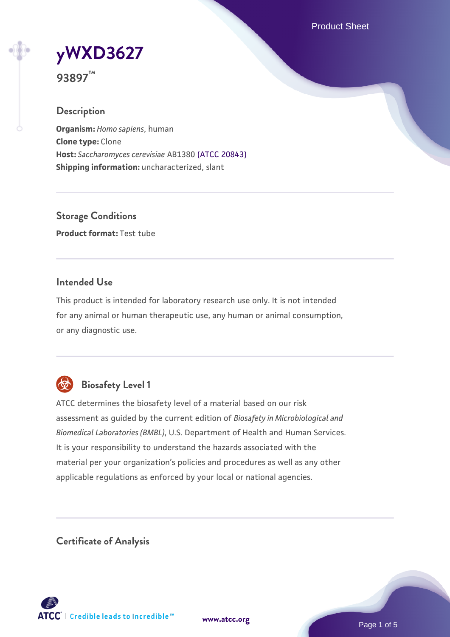Product Sheet

**[yWXD3627](https://www.atcc.org/products/93897)**

**93897™**

### **Description**

**Organism:** *Homo sapiens*, human **Clone type:** Clone **Host:** *Saccharomyces cerevisiae* AB1380 [\(ATCC 20843\)](https://www.atcc.org/products/20843) **Shipping information:** uncharacterized, slant

**Storage Conditions Product format:** Test tube

### **Intended Use**

This product is intended for laboratory research use only. It is not intended for any animal or human therapeutic use, any human or animal consumption, or any diagnostic use.



# **Biosafety Level 1**

ATCC determines the biosafety level of a material based on our risk assessment as guided by the current edition of *Biosafety in Microbiological and Biomedical Laboratories (BMBL)*, U.S. Department of Health and Human Services. It is your responsibility to understand the hazards associated with the material per your organization's policies and procedures as well as any other applicable regulations as enforced by your local or national agencies.

**Certificate of Analysis**

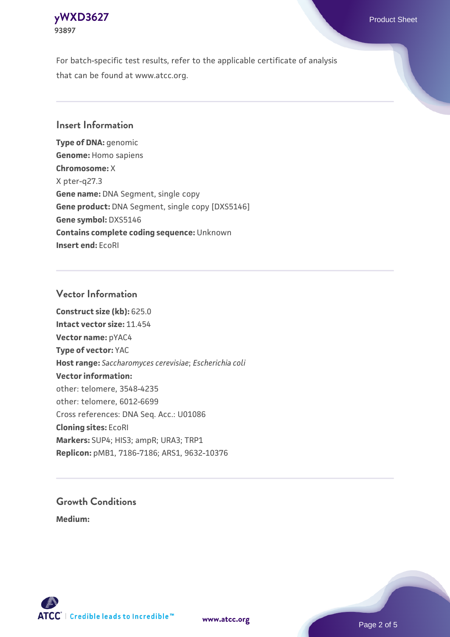

For batch-specific test results, refer to the applicable certificate of analysis that can be found at www.atcc.org.

#### **Insert Information**

**Type of DNA:** genomic **Genome:** Homo sapiens **Chromosome:** X X pter-q27.3 **Gene name:** DNA Segment, single copy **Gene product:** DNA Segment, single copy [DXS5146] **Gene symbol:** DXS5146 **Contains complete coding sequence:** Unknown **Insert end:** EcoRI

#### **Vector Information**

**Construct size (kb):** 625.0 **Intact vector size:** 11.454 **Vector name:** pYAC4 **Type of vector:** YAC **Host range:** *Saccharomyces cerevisiae*; *Escherichia coli* **Vector information:** other: telomere, 3548-4235 other: telomere, 6012-6699 Cross references: DNA Seq. Acc.: U01086 **Cloning sites:** EcoRI **Markers:** SUP4; HIS3; ampR; URA3; TRP1 **Replicon:** pMB1, 7186-7186; ARS1, 9632-10376

# **Growth Conditions**

**Medium:** 



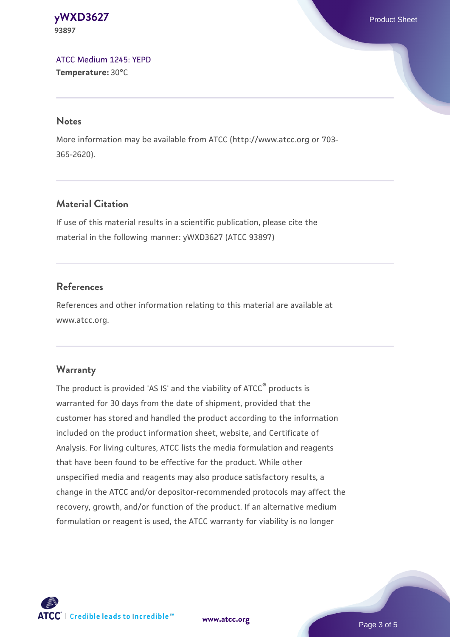**[yWXD3627](https://www.atcc.org/products/93897)** Product Sheet **93897**

[ATCC Medium 1245: YEPD](https://www.atcc.org/-/media/product-assets/documents/microbial-media-formulations/1/2/4/5/atcc-medium-1245.pdf?rev=705ca55d1b6f490a808a965d5c072196) **Temperature:** 30°C

#### **Notes**

More information may be available from ATCC (http://www.atcc.org or 703- 365-2620).

### **Material Citation**

If use of this material results in a scientific publication, please cite the material in the following manner: yWXD3627 (ATCC 93897)

### **References**

References and other information relating to this material are available at www.atcc.org.

#### **Warranty**

The product is provided 'AS IS' and the viability of ATCC® products is warranted for 30 days from the date of shipment, provided that the customer has stored and handled the product according to the information included on the product information sheet, website, and Certificate of Analysis. For living cultures, ATCC lists the media formulation and reagents that have been found to be effective for the product. While other unspecified media and reagents may also produce satisfactory results, a change in the ATCC and/or depositor-recommended protocols may affect the recovery, growth, and/or function of the product. If an alternative medium formulation or reagent is used, the ATCC warranty for viability is no longer

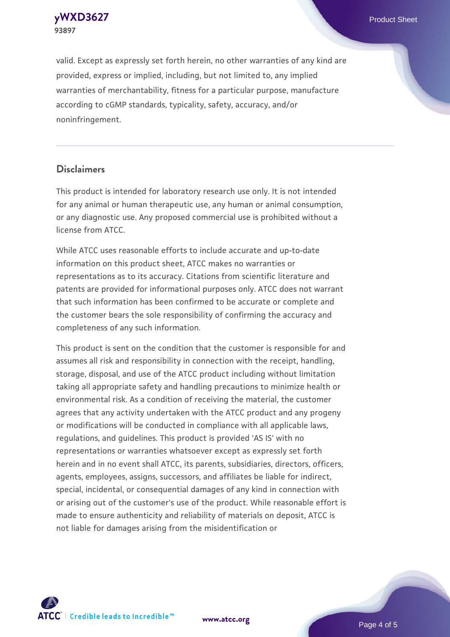**[yWXD3627](https://www.atcc.org/products/93897)** Product Sheet **93897**

valid. Except as expressly set forth herein, no other warranties of any kind are provided, express or implied, including, but not limited to, any implied warranties of merchantability, fitness for a particular purpose, manufacture according to cGMP standards, typicality, safety, accuracy, and/or noninfringement.

#### **Disclaimers**

This product is intended for laboratory research use only. It is not intended for any animal or human therapeutic use, any human or animal consumption, or any diagnostic use. Any proposed commercial use is prohibited without a license from ATCC.

While ATCC uses reasonable efforts to include accurate and up-to-date information on this product sheet, ATCC makes no warranties or representations as to its accuracy. Citations from scientific literature and patents are provided for informational purposes only. ATCC does not warrant that such information has been confirmed to be accurate or complete and the customer bears the sole responsibility of confirming the accuracy and completeness of any such information.

This product is sent on the condition that the customer is responsible for and assumes all risk and responsibility in connection with the receipt, handling, storage, disposal, and use of the ATCC product including without limitation taking all appropriate safety and handling precautions to minimize health or environmental risk. As a condition of receiving the material, the customer agrees that any activity undertaken with the ATCC product and any progeny or modifications will be conducted in compliance with all applicable laws, regulations, and guidelines. This product is provided 'AS IS' with no representations or warranties whatsoever except as expressly set forth herein and in no event shall ATCC, its parents, subsidiaries, directors, officers, agents, employees, assigns, successors, and affiliates be liable for indirect, special, incidental, or consequential damages of any kind in connection with or arising out of the customer's use of the product. While reasonable effort is made to ensure authenticity and reliability of materials on deposit, ATCC is not liable for damages arising from the misidentification or



**[www.atcc.org](http://www.atcc.org)**

Page 4 of 5